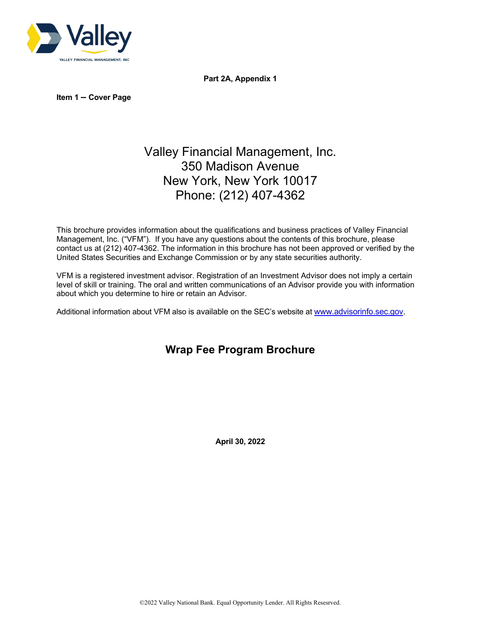

**Part 2A, Appendix 1**

**Item 1 – Cover Page**

# Valley Financial Management, Inc. 350 Madison Avenue New York, New York 10017 Phone: (212) 407-4362

This brochure provides information about the qualifications and business practices of Valley Financial Management, Inc. ("VFM"). If you have any questions about the contents of this brochure, please contact us at (212) 407-4362. The information in this brochure has not been approved or verified by the United States Securities and Exchange Commission or by any state securities authority.

VFM is a registered investment advisor. Registration of an Investment Advisor does not imply a certain level of skill or training. The oral and written communications of an Advisor provide you with information about which you determine to hire or retain an Advisor.

Additional information about VFM also is available on the SEC's website at [www.advisorinfo.sec.gov.](http://www.advisorinfo.sec.gov/)

## **Wrap Fee Program Brochure**

**April 30, 2022**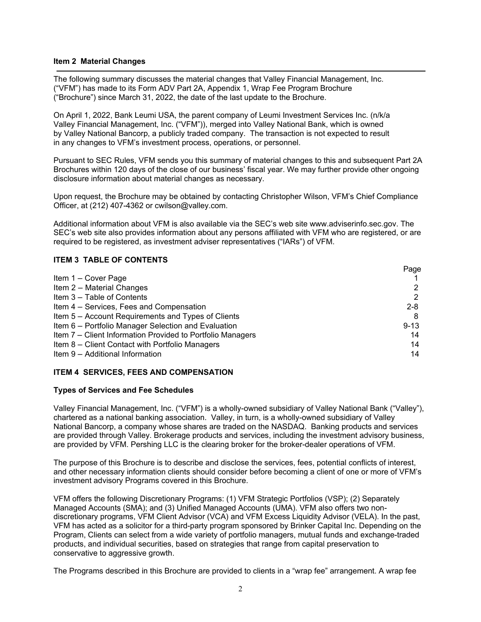#### **Item 2 Material Changes**

The following summary discusses the material changes that Valley Financial Management, Inc. ("VFM") has made to its Form ADV Part 2A, Appendix 1, Wrap Fee Program Brochure ("Brochure") since March 31, 2022, the date of the last update to the Brochure.

On April 1, 2022, Bank Leumi USA, the parent company of Leumi Investment Services Inc. (n/k/a Valley Financial Management, Inc. ("VFM")), merged into Valley National Bank, which is owned by Valley National Bancorp, a publicly traded company. The transaction is not expected to result in any changes to VFM's investment process, operations, or personnel.

Pursuant to SEC Rules, VFM sends you this summary of material changes to this and subsequent Part 2A Brochures within 120 days of the close of our business' fiscal year. We may further provide other ongoing disclosure information about material changes as necessary.

Upon request, the Brochure may be obtained by contacting Christopher Wilson, VFM's Chief Compliance Officer, at (212) 407-4362 or cwilson@valley.com.

Additional information about VFM is also available via the SEC's web site www.adviserinfo.sec.gov. The SEC's web site also provides information about any persons affiliated with VFM who are registered, or are required to be registered, as investment adviser representatives ("IARs") of VFM.

## **ITEM 3 TABLE OF CONTENTS**

|                                                            | Page     |
|------------------------------------------------------------|----------|
| Item 1 - Cover Page                                        |          |
| Item 2 - Material Changes                                  | 2        |
| Item 3 - Table of Contents                                 | 2        |
| Item 4 – Services, Fees and Compensation                   | $2 - 8$  |
| Item 5 - Account Requirements and Types of Clients         | 8        |
| Item 6 – Portfolio Manager Selection and Evaluation        | $9 - 13$ |
| Item 7 – Client Information Provided to Portfolio Managers | 14       |
| Item 8 - Client Contact with Portfolio Managers            | 14       |
| Item 9 - Additional Information                            | 14       |

#### **ITEM 4 SERVICES, FEES AND COMPENSATION**

#### **Types of Services and Fee Schedules**

Valley Financial Management, Inc. ("VFM") is a wholly-owned subsidiary of Valley National Bank ("Valley"), chartered as a national banking association. Valley, in turn, is a wholly-owned subsidiary of Valley National Bancorp, a company whose shares are traded on the NASDAQ. Banking products and services are provided through Valley. Brokerage products and services, including the investment advisory business, are provided by VFM. Pershing LLC is the clearing broker for the broker-dealer operations of VFM.

The purpose of this Brochure is to describe and disclose the services, fees, potential conflicts of interest, and other necessary information clients should consider before becoming a client of one or more of VFM's investment advisory Programs covered in this Brochure.

VFM offers the following Discretionary Programs: (1) VFM Strategic Portfolios (VSP); (2) Separately Managed Accounts (SMA); and (3) Unified Managed Accounts (UMA). VFM also offers two nondiscretionary programs, VFM Client Advisor (VCA) and VFM Excess Liquidity Advisor (VELA). In the past, VFM has acted as a solicitor for a third-party program sponsored by Brinker Capital Inc. Depending on the Program, Clients can select from a wide variety of portfolio managers, mutual funds and exchange-traded products, and individual securities, based on strategies that range from capital preservation to conservative to aggressive growth.

The Programs described in this Brochure are provided to clients in a "wrap fee" arrangement. A wrap fee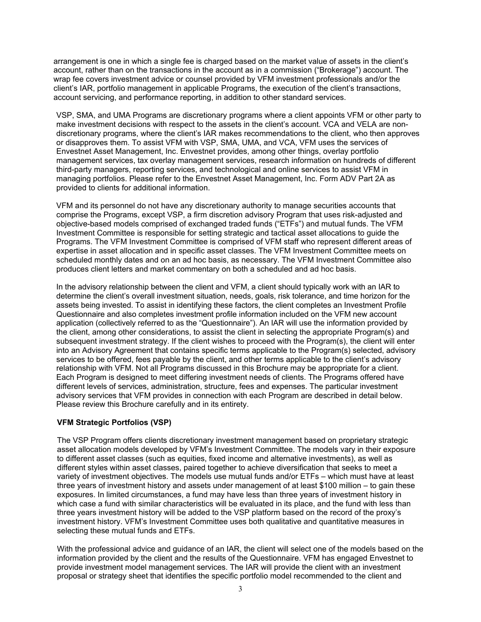arrangement is one in which a single fee is charged based on the market value of assets in the client's account, rather than on the transactions in the account as in a commission ("Brokerage") account. The wrap fee covers investment advice or counsel provided by VFM investment professionals and/or the client's IAR, portfolio management in applicable Programs, the execution of the client's transactions, account servicing, and performance reporting, in addition to other standard services.

VSP, SMA, and UMA Programs are discretionary programs where a client appoints VFM or other party to make investment decisions with respect to the assets in the client's account. VCA and VELA are nondiscretionary programs, where the client's IAR makes recommendations to the client, who then approves or disapproves them. To assist VFM with VSP, SMA, UMA, and VCA, VFM uses the services of Envestnet Asset Management, Inc. Envestnet provides, among other things, overlay portfolio management services, tax overlay management services, research information on hundreds of different third-party managers, reporting services, and technological and online services to assist VFM in managing portfolios. Please refer to the Envestnet Asset Management, Inc. Form ADV Part 2A as provided to clients for additional information.

VFM and its personnel do not have any discretionary authority to manage securities accounts that comprise the Programs, except VSP, a firm discretion advisory Program that uses risk-adjusted and objective-based models comprised of exchanged traded funds ("ETFs") and mutual funds. The VFM Investment Committee is responsible for setting strategic and tactical asset allocations to guide the Programs. The VFM Investment Committee is comprised of VFM staff who represent different areas of expertise in asset allocation and in specific asset classes. The VFM Investment Committee meets on scheduled monthly dates and on an ad hoc basis, as necessary. The VFM Investment Committee also produces client letters and market commentary on both a scheduled and ad hoc basis.

In the advisory relationship between the client and VFM, a client should typically work with an IAR to determine the client's overall investment situation, needs, goals, risk tolerance, and time horizon for the assets being invested. To assist in identifying these factors, the client completes an Investment Profile Questionnaire and also completes investment profile information included on the VFM new account application (collectively referred to as the "Questionnaire"). An IAR will use the information provided by the client, among other considerations, to assist the client in selecting the appropriate Program(s) and subsequent investment strategy. If the client wishes to proceed with the Program(s), the client will enter into an Advisory Agreement that contains specific terms applicable to the Program(s) selected, advisory services to be offered, fees payable by the client, and other terms applicable to the client's advisory relationship with VFM. Not all Programs discussed in this Brochure may be appropriate for a client. Each Program is designed to meet differing investment needs of clients. The Programs offered have different levels of services, administration, structure, fees and expenses. The particular investment advisory services that VFM provides in connection with each Program are described in detail below. Please review this Brochure carefully and in its entirety.

## **VFM Strategic Portfolios (VSP)**

The VSP Program offers clients discretionary investment management based on proprietary strategic asset allocation models developed by VFM's Investment Committee. The models vary in their exposure to different asset classes (such as equities, fixed income and alternative investments), as well as different styles within asset classes, paired together to achieve diversification that seeks to meet a variety of investment objectives. The models use mutual funds and/or ETFs – which must have at least three years of investment history and assets under management of at least \$100 million – to gain these exposures. In limited circumstances, a fund may have less than three years of investment history in which case a fund with similar characteristics will be evaluated in its place, and the fund with less than three years investment history will be added to the VSP platform based on the record of the proxy's investment history. VFM's Investment Committee uses both qualitative and quantitative measures in selecting these mutual funds and ETFs.

With the professional advice and guidance of an IAR, the client will select one of the models based on the information provided by the client and the results of the Questionnaire. VFM has engaged Envestnet to provide investment model management services. The IAR will provide the client with an investment proposal or strategy sheet that identifies the specific portfolio model recommended to the client and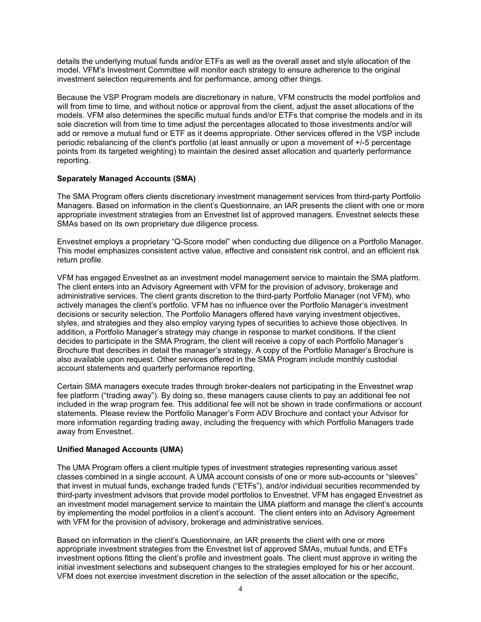details the underlying mutual funds and/or ETFs as well as the overall asset and style allocation of the model. VFM's Investment Committee will monitor each strategy to ensure adherence to the original investment selection requirements and for performance, among other things.

Because the VSP Program models are discretionary in nature, VFM constructs the model portfolios and will from time to time, and without notice or approval from the client, adjust the asset allocations of the models. VFM also determines the specific mutual funds and/or ETFs that comprise the models and in its sole discretion will from time to time adjust the percentages allocated to those investments and/or will add or remove a mutual fund or ETF as it deems appropriate. Other services offered in the VSP include periodic rebalancing of the client's portfolio (at least annually or upon a movement of +/-5 percentage points from its targeted weighting) to maintain the desired asset allocation and quarterly performance reporting.

## **Separately Managed Accounts (SMA)**

The SMA Program offers clients discretionary investment management services from third-party Portfolio Managers. Based on information in the client's Questionnaire, an IAR presents the client with one or more appropriate investment strategies from an Envestnet list of approved managers. Envestnet selects these SMAs based on its own proprietary due diligence process.

Envestnet employs a proprietary "Q-Score model" when conducting due diligence on a Portfolio Manager. This model emphasizes consistent active value, effective and consistent risk control, and an efficient risk return profile.

VFM has engaged Envestnet as an investment model management service to maintain the SMA platform. The client enters into an Advisory Agreement with VFM for the provision of advisory, brokerage and administrative services. The client grants discretion to the third-party Portfolio Manager (not VFM), who actively manages the client's portfolio. VFM has no influence over the Portfolio Manager's investment decisions or security selection. The Portfolio Managers offered have varying investment objectives, styles, and strategies and they also employ varying types of securities to achieve those objectives. In addition, a Portfolio Manager's strategy may change in response to market conditions. If the client decides to participate in the SMA Program, the client will receive a copy of each Portfolio Manager's Brochure that describes in detail the manager's strategy. A copy of the Portfolio Manager's Brochure is also available upon request. Other services offered in the SMA Program include monthly custodial account statements and quarterly performance reporting.

Certain SMA managers execute trades through broker-dealers not participating in the Envestnet wrap fee platform ("trading away"). By doing so, these managers cause clients to pay an additional fee not included in the wrap program fee. This additional fee will not be shown in trade confirmations or account statements. Please review the Portfolio Manager's Form ADV Brochure and contact your Advisor for more information regarding trading away, including the frequency with which Portfolio Managers trade away from Envestnet.

## **Unified Managed Accounts (UMA)**

The UMA Program offers a client multiple types of investment strategies representing various asset classes combined in a single account. A UMA account consists of one or more sub-accounts or "sleeves" that invest in mutual funds, exchange traded funds ("ETFs"), and/or individual securities recommended by third-party investment advisors that provide model portfolios to Envestnet. VFM has engaged Envestnet as an investment model management service to maintain the UMA platform and manage the client's accounts by implementing the model portfolios in a client's account. The client enters into an Advisory Agreement with VFM for the provision of advisory, brokerage and administrative services.

Based on information in the client's Questionnaire, an IAR presents the client with one or more appropriate investment strategies from the Envestnet list of approved SMAs, mutual funds, and ETFs investment options fitting the client's profile and investment goals. The client must approve in writing the initial investment selections and subsequent changes to the strategies employed for his or her account. VFM does not exercise investment discretion in the selection of the asset allocation or the specific,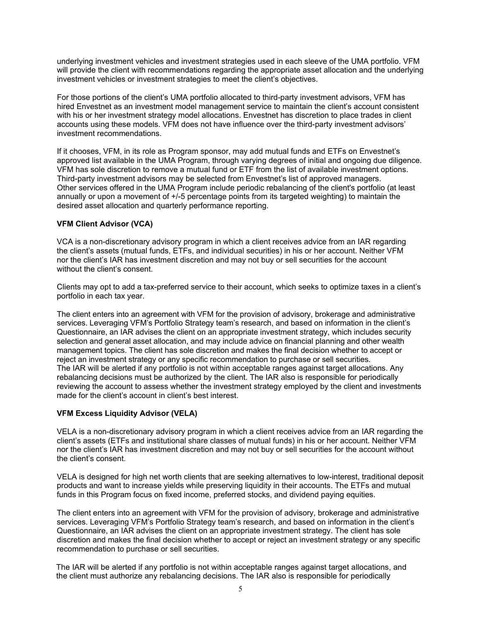underlying investment vehicles and investment strategies used in each sleeve of the UMA portfolio. VFM will provide the client with recommendations regarding the appropriate asset allocation and the underlying investment vehicles or investment strategies to meet the client's objectives.

For those portions of the client's UMA portfolio allocated to third-party investment advisors, VFM has hired Envestnet as an investment model management service to maintain the client's account consistent with his or her investment strategy model allocations. Envestnet has discretion to place trades in client accounts using these models. VFM does not have influence over the third-party investment advisors' investment recommendations.

If it chooses, VFM, in its role as Program sponsor, may add mutual funds and ETFs on Envestnet's approved list available in the UMA Program, through varying degrees of initial and ongoing due diligence. VFM has sole discretion to remove a mutual fund or ETF from the list of available investment options. Third-party investment advisors may be selected from Envestnet's list of approved managers. Other services offered in the UMA Program include periodic rebalancing of the client's portfolio (at least annually or upon a movement of +/-5 percentage points from its targeted weighting) to maintain the desired asset allocation and quarterly performance reporting.

## **VFM Client Advisor (VCA)**

VCA is a non-discretionary advisory program in which a client receives advice from an IAR regarding the client's assets (mutual funds, ETFs, and individual securities) in his or her account. Neither VFM nor the client's IAR has investment discretion and may not buy or sell securities for the account without the client's consent.

Clients may opt to add a tax-preferred service to their account, which seeks to optimize taxes in a client's portfolio in each tax year.

The client enters into an agreement with VFM for the provision of advisory, brokerage and administrative services. Leveraging VFM's Portfolio Strategy team's research, and based on information in the client's Questionnaire, an IAR advises the client on an appropriate investment strategy, which includes security selection and general asset allocation, and may include advice on financial planning and other wealth management topics. The client has sole discretion and makes the final decision whether to accept or reject an investment strategy or any specific recommendation to purchase or sell securities. The IAR will be alerted if any portfolio is not within acceptable ranges against target allocations. Any rebalancing decisions must be authorized by the client. The IAR also is responsible for periodically reviewing the account to assess whether the investment strategy employed by the client and investments made for the client's account in client's best interest.

## **VFM Excess Liquidity Advisor (VELA)**

VELA is a non-discretionary advisory program in which a client receives advice from an IAR regarding the client's assets (ETFs and institutional share classes of mutual funds) in his or her account. Neither VFM nor the client's IAR has investment discretion and may not buy or sell securities for the account without the client's consent.

VELA is designed for high net worth clients that are seeking alternatives to low-interest, traditional deposit products and want to increase yields while preserving liquidity in their accounts. The ETFs and mutual funds in this Program focus on fixed income, preferred stocks, and dividend paying equities.

The client enters into an agreement with VFM for the provision of advisory, brokerage and administrative services. Leveraging VFM's Portfolio Strategy team's research, and based on information in the client's Questionnaire, an IAR advises the client on an appropriate investment strategy. The client has sole discretion and makes the final decision whether to accept or reject an investment strategy or any specific recommendation to purchase or sell securities.

The IAR will be alerted if any portfolio is not within acceptable ranges against target allocations, and the client must authorize any rebalancing decisions. The IAR also is responsible for periodically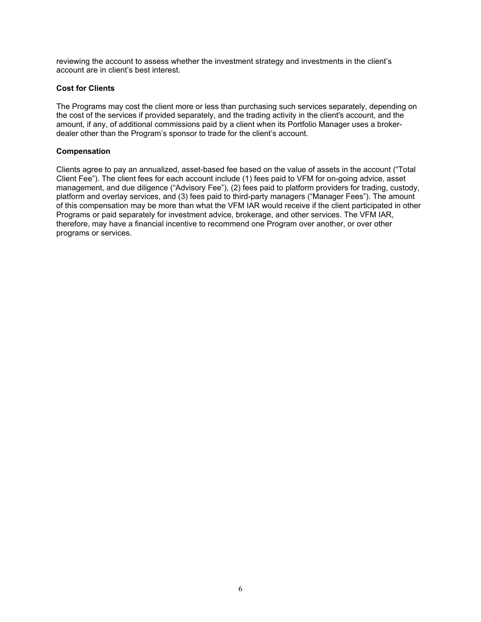reviewing the account to assess whether the investment strategy and investments in the client's account are in client's best interest.

#### **Cost for Clients**

The Programs may cost the client more or less than purchasing such services separately, depending on the cost of the services if provided separately, and the trading activity in the client's account, and the amount, if any, of additional commissions paid by a client when its Portfolio Manager uses a brokerdealer other than the Program's sponsor to trade for the client's account.

## **Compensation**

Clients agree to pay an annualized, asset-based fee based on the value of assets in the account ("Total Client Fee"). The client fees for each account include (1) fees paid to VFM for on-going advice, asset management, and due diligence ("Advisory Fee"), (2) fees paid to platform providers for trading, custody, platform and overlay services, and (3) fees paid to third-party managers ("Manager Fees"). The amount of this compensation may be more than what the VFM IAR would receive if the client participated in other Programs or paid separately for investment advice, brokerage, and other services. The VFM IAR, therefore, may have a financial incentive to recommend one Program over another, or over other programs or services.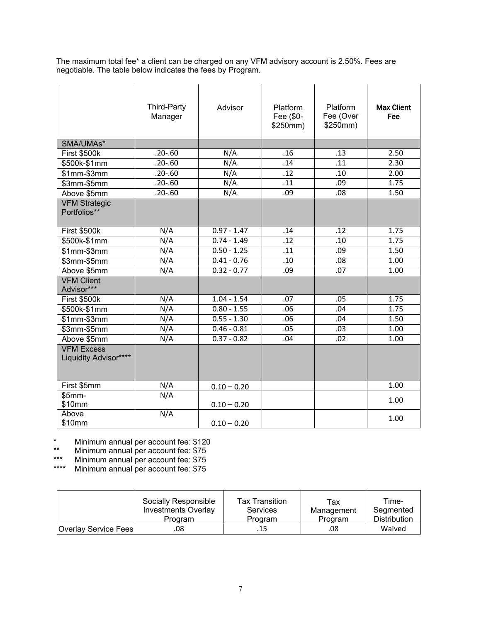The maximum total fee\* a client can be charged on any VFM advisory account is 2.50%. Fees are negotiable. The table below indicates the fees by Program.

|                                            | <b>Third-Party</b><br>Manager | Advisor       | Platform<br>Fee (\$0-<br>\$250mm) | Platform<br>Fee (Over<br>\$250mm) | <b>Max Client</b><br>Fee |
|--------------------------------------------|-------------------------------|---------------|-----------------------------------|-----------------------------------|--------------------------|
| SMA/UMAs*                                  |                               |               |                                   |                                   |                          |
| <b>First \$500k</b>                        | $.20 - .60$                   | N/A           | .16                               | .13                               | 2.50                     |
| \$500k-\$1mm                               | $.20 - .60$                   | N/A           | .14                               | .11                               | 2.30                     |
| $$1mm-$3mm$                                | $.20 - .60$                   | N/A           | .12                               | .10                               | 2.00                     |
| \$3mm-\$5mm                                | $.20 - .60$                   | N/A           | $\overline{.11}$                  | .09                               | 1.75                     |
| Above \$5mm                                | $.20 - .60$                   | N/A           | .09                               | .08                               | 1.50                     |
| <b>VFM Strategic</b><br>Portfolios**       |                               |               |                                   |                                   |                          |
| First \$500k                               | N/A                           | $0.97 - 1.47$ | .14                               | .12                               | 1.75                     |
| \$500k-\$1mm                               | N/A                           | $0.74 - 1.49$ | .12                               | .10                               | 1.75                     |
| \$1mm-\$3mm                                | N/A                           | $0.50 - 1.25$ | .11                               | .09                               | 1.50                     |
| \$3mm-\$5mm                                | N/A                           | $0.41 - 0.76$ | .10                               | .08                               | 1.00                     |
| Above \$5mm                                | N/A                           | $0.32 - 0.77$ | .09                               | .07                               | 1.00                     |
| <b>VFM Client</b><br>Advisor***            |                               |               |                                   |                                   |                          |
| <b>First \$500k</b>                        | N/A                           | $1.04 - 1.54$ | .07                               | .05                               | 1.75                     |
| \$500k-\$1mm                               | N/A                           | $0.80 - 1.55$ | .06                               | .04                               | 1.75                     |
| $$1mm-$3mm$                                | $\overline{N/A}$              | $0.55 - 1.30$ | .06                               | .04                               | 1.50                     |
| \$3mm-\$5mm                                | N/A                           | $0.46 - 0.81$ | .05                               | .03                               | 1.00                     |
| Above \$5mm                                | N/A                           | $0.37 - 0.82$ | .04                               | .02                               | 1.00                     |
| <b>VFM Excess</b><br>Liquidity Advisor**** |                               |               |                                   |                                   |                          |
| First \$5mm                                | N/A                           | $0.10 - 0.20$ |                                   |                                   | 1.00                     |
| $$5mm-$<br>\$10mm                          | N/A                           | $0.10 - 0.20$ |                                   |                                   | 1.00                     |
| Above<br>\$10mm                            | N/A                           | $0.10 - 0.20$ |                                   |                                   | 1.00                     |

\* Minimum annual per account fee: \$120

\*\* Minimum annual per account fee: \$75

\*\*\* Minimum annual per account fee: \$75

\*\*\*\* Minimum annual per account fee: \$75

|                             | Socially Responsible | <b>Tax Transition</b> | Tax        | Time-               |
|-----------------------------|----------------------|-----------------------|------------|---------------------|
|                             | Investments Overlay  | <b>Services</b>       | Management | Seamented           |
|                             | Program              | Program               | Program    | <b>Distribution</b> |
| <b>Overlay Service Fees</b> | .08                  | .15                   | .08        | Waived              |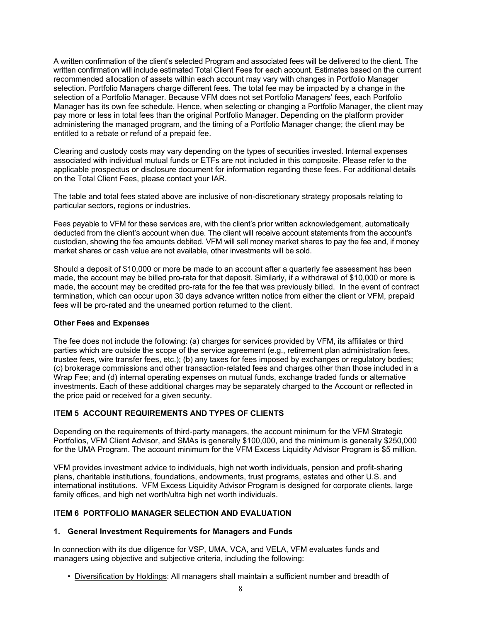A written confirmation of the client's selected Program and associated fees will be delivered to the client. The written confirmation will include estimated Total Client Fees for each account. Estimates based on the current recommended allocation of assets within each account may vary with changes in Portfolio Manager selection. Portfolio Managers charge different fees. The total fee may be impacted by a change in the selection of a Portfolio Manager. Because VFM does not set Portfolio Managers' fees, each Portfolio Manager has its own fee schedule. Hence, when selecting or changing a Portfolio Manager, the client may pay more or less in total fees than the original Portfolio Manager. Depending on the platform provider administering the managed program, and the timing of a Portfolio Manager change; the client may be entitled to a rebate or refund of a prepaid fee.

Clearing and custody costs may vary depending on the types of securities invested. Internal expenses associated with individual mutual funds or ETFs are not included in this composite. Please refer to the applicable prospectus or disclosure document for information regarding these fees. For additional details on the Total Client Fees, please contact your IAR.

The table and total fees stated above are inclusive of non-discretionary strategy proposals relating to particular sectors, regions or industries.

Fees payable to VFM for these services are, with the client's prior written acknowledgement, automatically deducted from the client's account when due. The client will receive account statements from the account's custodian, showing the fee amounts debited. VFM will sell money market shares to pay the fee and, if money market shares or cash value are not available, other investments will be sold.

Should a deposit of \$10,000 or more be made to an account after a quarterly fee assessment has been made, the account may be billed pro-rata for that deposit. Similarly, if a withdrawal of \$10,000 or more is made, the account may be credited pro-rata for the fee that was previously billed. In the event of contract termination, which can occur upon 30 days advance written notice from either the client or VFM, prepaid fees will be pro-rated and the unearned portion returned to the client.

#### **Other Fees and Expenses**

The fee does not include the following: (a) charges for services provided by VFM, its affiliates or third parties which are outside the scope of the service agreement (e.g., retirement plan administration fees, trustee fees, wire transfer fees, etc.); (b) any taxes for fees imposed by exchanges or regulatory bodies; (c) brokerage commissions and other transaction-related fees and charges other than those included in a Wrap Fee; and (d) internal operating expenses on mutual funds, exchange traded funds or alternative investments. Each of these additional charges may be separately charged to the Account or reflected in the price paid or received for a given security.

## **ITEM 5 ACCOUNT REQUIREMENTS AND TYPES OF CLIENTS**

Depending on the requirements of third-party managers, the account minimum for the VFM Strategic Portfolios, VFM Client Advisor, and SMAs is generally \$100,000, and the minimum is generally \$250,000 for the UMA Program. The account minimum for the VFM Excess Liquidity Advisor Program is \$5 million.

VFM provides investment advice to individuals, high net worth individuals, pension and profit-sharing plans, charitable institutions, foundations, endowments, trust programs, estates and other U.S. and international institutions. VFM Excess Liquidity Advisor Program is designed for corporate clients, large family offices, and high net worth/ultra high net worth individuals.

## **ITEM 6 PORTFOLIO MANAGER SELECTION AND EVALUATION**

## **1. General Investment Requirements for Managers and Funds**

In connection with its due diligence for VSP, UMA, VCA, and VELA, VFM evaluates funds and managers using objective and subjective criteria, including the following:

• Diversification by Holdings: All managers shall maintain a sufficient number and breadth of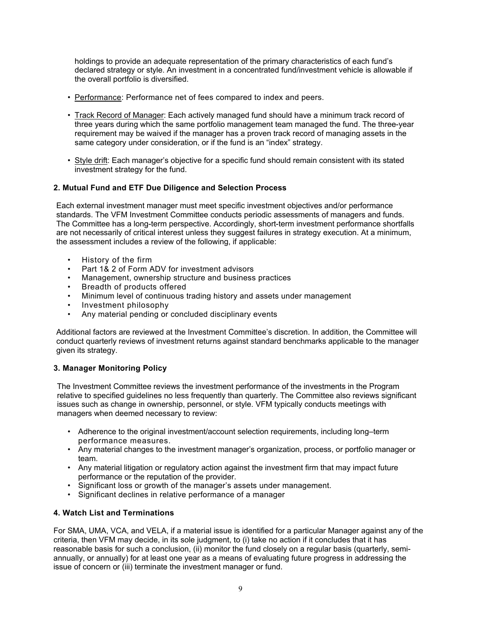holdings to provide an adequate representation of the primary characteristics of each fund's declared strategy or style. An investment in a concentrated fund/investment vehicle is allowable if the overall portfolio is diversified.

- Performance: Performance net of fees compared to index and peers.
- Track Record of Manager: Each actively managed fund should have a minimum track record of three years during which the same portfolio management team managed the fund. The three-year requirement may be waived if the manager has a proven track record of managing assets in the same category under consideration, or if the fund is an "index" strategy.
- Style drift: Each manager's objective for a specific fund should remain consistent with its stated investment strategy for the fund.

## **2. Mutual Fund and ETF Due Diligence and Selection Process**

Each external investment manager must meet specific investment objectives and/or performance standards. The VFM Investment Committee conducts periodic assessments of managers and funds. The Committee has a long-term perspective. Accordingly, short-term investment performance shortfalls are not necessarily of critical interest unless they suggest failures in strategy execution. At a minimum, the assessment includes a review of the following, if applicable:

- History of the firm
- Part 1& 2 of Form ADV for investment advisors
- Management, ownership structure and business practices
- Breadth of products offered
- Minimum level of continuous trading history and assets under management
- Investment philosophy
- Any material pending or concluded disciplinary events

Additional factors are reviewed at the Investment Committee's discretion. In addition, the Committee will conduct quarterly reviews of investment returns against standard benchmarks applicable to the manager given its strategy.

## **3. Manager Monitoring Policy**

The Investment Committee reviews the investment performance of the investments in the Program relative to specified guidelines no less frequently than quarterly. The Committee also reviews significant issues such as change in ownership, personnel, or style. VFM typically conducts meetings with managers when deemed necessary to review:

- Adherence to the original investment/account selection requirements, including long–term performance measures.
- Any material changes to the investment manager's organization, process, or portfolio manager or team.
- Any material litigation or regulatory action against the investment firm that may impact future performance or the reputation of the provider.
- Significant loss or growth of the manager's assets under management.
- Significant declines in relative performance of a manager

## **4. Watch List and Terminations**

For SMA, UMA, VCA, and VELA, if a material issue is identified for a particular Manager against any of the criteria, then VFM may decide, in its sole judgment, to (i) take no action if it concludes that it has reasonable basis for such a conclusion, (ii) monitor the fund closely on a regular basis (quarterly, semiannually, or annually) for at least one year as a means of evaluating future progress in addressing the issue of concern or (iii) terminate the investment manager or fund.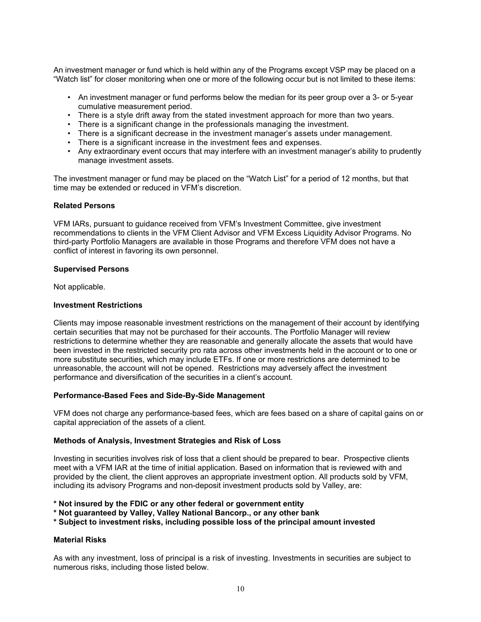An investment manager or fund which is held within any of the Programs except VSP may be placed on a "Watch list" for closer monitoring when one or more of the following occur but is not limited to these items:

- An investment manager or fund performs below the median for its peer group over a 3- or 5-year cumulative measurement period.
- There is a style drift away from the stated investment approach for more than two years.
- There is a significant change in the professionals managing the investment.
- There is a significant decrease in the investment manager's assets under management.
- There is a significant increase in the investment fees and expenses.
- Any extraordinary event occurs that may interfere with an investment manager's ability to prudently manage investment assets.

The investment manager or fund may be placed on the "Watch List" for a period of 12 months, but that time may be extended or reduced in VFM's discretion.

#### **Related Persons**

VFM IARs, pursuant to guidance received from VFM's Investment Committee, give investment recommendations to clients in the VFM Client Advisor and VFM Excess Liquidity Advisor Programs. No third-party Portfolio Managers are available in those Programs and therefore VFM does not have a conflict of interest in favoring its own personnel.

#### **Supervised Persons**

Not applicable.

#### **Investment Restrictions**

Clients may impose reasonable investment restrictions on the management of their account by identifying certain securities that may not be purchased for their accounts. The Portfolio Manager will review restrictions to determine whether they are reasonable and generally allocate the assets that would have been invested in the restricted security pro rata across other investments held in the account or to one or more substitute securities, which may include ETFs. If one or more restrictions are determined to be unreasonable, the account will not be opened. Restrictions may adversely affect the investment performance and diversification of the securities in a client's account.

#### **Performance-Based Fees and Side-By-Side Management**

VFM does not charge any performance-based fees, which are fees based on a share of capital gains on or capital appreciation of the assets of a client.

#### **Methods of Analysis, Investment Strategies and Risk of Loss**

Investing in securities involves risk of loss that a client should be prepared to bear. Prospective clients meet with a VFM IAR at the time of initial application. Based on information that is reviewed with and provided by the client, the client approves an appropriate investment option. All products sold by VFM, including its advisory Programs and non-deposit investment products sold by Valley, are:

**\* Not insured by the FDIC or any other federal or government entity**

**\* Not guaranteed by Valley, Valley National Bancorp., or any other bank**

**\* Subject to investment risks, including possible loss of the principal amount invested**

## **Material Risks**

As with any investment, loss of principal is a risk of investing. Investments in securities are subject to numerous risks, including those listed below.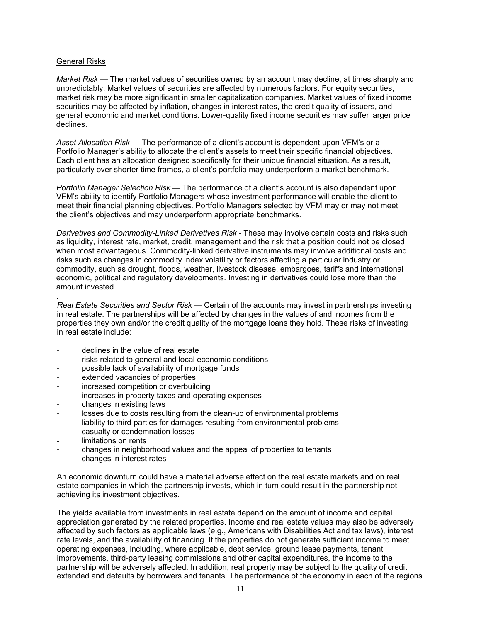#### General Risks

*Market Risk* — The market values of securities owned by an account may decline, at times sharply and unpredictably. Market values of securities are affected by numerous factors. For equity securities, market risk may be more significant in smaller capitalization companies. Market values of fixed income securities may be affected by inflation, changes in interest rates, the credit quality of issuers, and general economic and market conditions. Lower-quality fixed income securities may suffer larger price declines.

*Asset Allocation Risk* — The performance of a client's account is dependent upon VFM's or a Portfolio Manager's ability to allocate the client's assets to meet their specific financial objectives. Each client has an allocation designed specifically for their unique financial situation. As a result, particularly over shorter time frames, a client's portfolio may underperform a market benchmark.

*Portfolio Manager Selection Risk* — The performance of a client's account is also dependent upon VFM's ability to identify Portfolio Managers whose investment performance will enable the client to meet their financial planning objectives. Portfolio Managers selected by VFM may or may not meet the client's objectives and may underperform appropriate benchmarks.

*Derivatives and Commodity-Linked Derivatives Risk -* These may involve certain costs and risks such as liquidity, interest rate, market, credit, management and the risk that a position could not be closed when most advantageous. Commodity-linked derivative instruments may involve additional costs and risks such as changes in commodity index volatility or factors affecting a particular industry or commodity, such as drought, floods, weather, livestock disease, embargoes, tariffs and international economic, political and regulatory developments. Investing in derivatives could lose more than the amount invested

. *Real Estate Securities and Sector Risk —* Certain of the accounts may invest in partnerships investing in real estate. The partnerships will be affected by changes in the values of and incomes from the properties they own and/or the credit quality of the mortgage loans they hold. These risks of investing in real estate include:

- declines in the value of real estate
- risks related to general and local economic conditions
- possible lack of availability of mortgage funds
- extended vacancies of properties
- increased competition or overbuilding
- increases in property taxes and operating expenses
- changes in existing laws
- losses due to costs resulting from the clean-up of environmental problems
- liability to third parties for damages resulting from environmental problems
- casualty or condemnation losses
- limitations on rents
- changes in neighborhood values and the appeal of properties to tenants
- changes in interest rates

An economic downturn could have a material adverse effect on the real estate markets and on real estate companies in which the partnership invests, which in turn could result in the partnership not achieving its investment objectives.

The yields available from investments in real estate depend on the amount of income and capital appreciation generated by the related properties. Income and real estate values may also be adversely affected by such factors as applicable laws (e.g., Americans with Disabilities Act and tax laws), interest rate levels, and the availability of financing. If the properties do not generate sufficient income to meet operating expenses, including, where applicable, debt service, ground lease payments, tenant improvements, third-party leasing commissions and other capital expenditures, the income to the partnership will be adversely affected. In addition, real property may be subject to the quality of credit extended and defaults by borrowers and tenants. The performance of the economy in each of the regions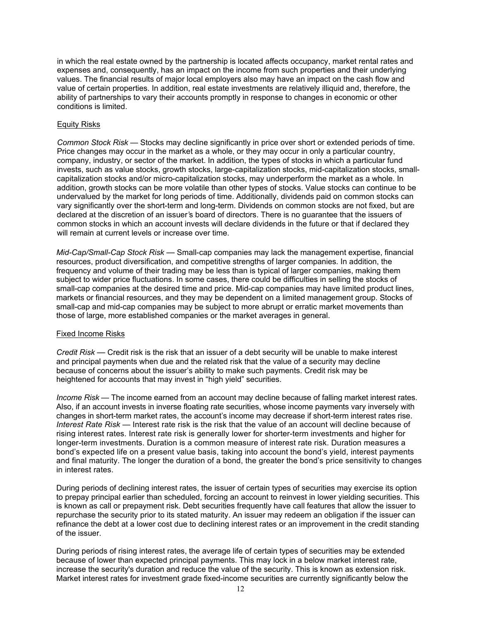in which the real estate owned by the partnership is located affects occupancy, market rental rates and expenses and, consequently, has an impact on the income from such properties and their underlying values. The financial results of major local employers also may have an impact on the cash flow and value of certain properties. In addition, real estate investments are relatively illiquid and, therefore, the ability of partnerships to vary their accounts promptly in response to changes in economic or other conditions is limited.

## Equity Risks

*Common Stock Risk —* Stocks may decline significantly in price over short or extended periods of time. Price changes may occur in the market as a whole, or they may occur in only a particular country, company, industry, or sector of the market. In addition, the types of stocks in which a particular fund invests, such as value stocks, growth stocks, large-capitalization stocks, mid-capitalization stocks, smallcapitalization stocks and/or micro-capitalization stocks, may underperform the market as a whole. In addition, growth stocks can be more volatile than other types of stocks. Value stocks can continue to be undervalued by the market for long periods of time. Additionally, dividends paid on common stocks can vary significantly over the short-term and long-term. Dividends on common stocks are not fixed, but are declared at the discretion of an issuer*'*s board of directors. There is no guarantee that the issuers of common stocks in which an account invests will declare dividends in the future or that if declared they will remain at current levels or increase over time.

*Mid-Cap/Small-Cap Stock Risk* — Small-cap companies may lack the management expertise, financial resources, product diversification, and competitive strengths of larger companies. In addition, the frequency and volume of their trading may be less than is typical of larger companies, making them subject to wider price fluctuations. In some cases, there could be difficulties in selling the stocks of small-cap companies at the desired time and price. Mid-cap companies may have limited product lines, markets or financial resources, and they may be dependent on a limited management group. Stocks of small-cap and mid-cap companies may be subject to more abrupt or erratic market movements than those of large, more established companies or the market averages in general.

#### Fixed Income Risks

*Credit Risk* — Credit risk is the risk that an issuer of a debt security will be unable to make interest and principal payments when due and the related risk that the value of a security may decline because of concerns about the issuer's ability to make such payments. Credit risk may be heightened for accounts that may invest in "high yield" securities.

*Income Risk* — The income earned from an account may decline because of falling market interest rates. Also, if an account invests in inverse floating rate securities, whose income payments vary inversely with changes in short-term market rates, the account's income may decrease if short-term interest rates rise. *Interest Rate Risk* — Interest rate risk is the risk that the value of an account will decline because of rising interest rates. Interest rate risk is generally lower for shorter-term investments and higher for longer-term investments. Duration is a common measure of interest rate risk. Duration measures a bond's expected life on a present value basis, taking into account the bond's yield, interest payments and final maturity. The longer the duration of a bond, the greater the bond's price sensitivity to changes in interest rates.

During periods of declining interest rates, the issuer of certain types of securities may exercise its option to prepay principal earlier than scheduled, forcing an account to reinvest in lower yielding securities. This is known as call or prepayment risk. Debt securities frequently have call features that allow the issuer to repurchase the security prior to its stated maturity. An issuer may redeem an obligation if the issuer can refinance the debt at a lower cost due to declining interest rates or an improvement in the credit standing of the issuer.

During periods of rising interest rates, the average life of certain types of securities may be extended because of lower than expected principal payments. This may lock in a below market interest rate, increase the security's duration and reduce the value of the security. This is known as extension risk. Market interest rates for investment grade fixed-income securities are currently significantly below the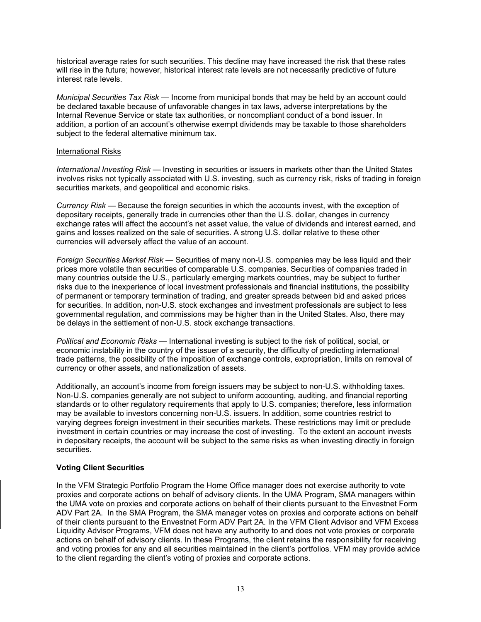historical average rates for such securities. This decline may have increased the risk that these rates will rise in the future; however, historical interest rate levels are not necessarily predictive of future interest rate levels.

*Municipal Securities Tax Risk* — Income from municipal bonds that may be held by an account could be declared taxable because of unfavorable changes in tax laws, adverse interpretations by the Internal Revenue Service or state tax authorities, or noncompliant conduct of a bond issuer. In addition, a portion of an account's otherwise exempt dividends may be taxable to those shareholders subject to the federal alternative minimum tax.

#### International Risks

*International Investing Risk* — Investing in securities or issuers in markets other than the United States involves risks not typically associated with U.S. investing, such as currency risk, risks of trading in foreign securities markets, and geopolitical and economic risks.

*Currency Risk* — Because the foreign securities in which the accounts invest, with the exception of depositary receipts, generally trade in currencies other than the U.S. dollar, changes in currency exchange rates will affect the account's net asset value, the value of dividends and interest earned, and gains and losses realized on the sale of securities. A strong U.S. dollar relative to these other currencies will adversely affect the value of an account.

*Foreign Securities Market Risk* — Securities of many non-U.S. companies may be less liquid and their prices more volatile than securities of comparable U.S. companies. Securities of companies traded in many countries outside the U.S., particularly emerging markets countries, may be subject to further risks due to the inexperience of local investment professionals and financial institutions, the possibility of permanent or temporary termination of trading, and greater spreads between bid and asked prices for securities. In addition, non-U.S. stock exchanges and investment professionals are subject to less governmental regulation, and commissions may be higher than in the United States. Also, there may be delays in the settlement of non-U.S. stock exchange transactions.

*Political and Economic Risks* — International investing is subject to the risk of political, social, or economic instability in the country of the issuer of a security, the difficulty of predicting international trade patterns, the possibility of the imposition of exchange controls, expropriation, limits on removal of currency or other assets, and nationalization of assets.

Additionally, an account's income from foreign issuers may be subject to non-U.S. withholding taxes. Non-U.S. companies generally are not subject to uniform accounting, auditing, and financial reporting standards or to other regulatory requirements that apply to U.S. companies; therefore, less information may be available to investors concerning non-U.S. issuers. In addition, some countries restrict to varying degrees foreign investment in their securities markets. These restrictions may limit or preclude investment in certain countries or may increase the cost of investing. To the extent an account invests in depositary receipts, the account will be subject to the same risks as when investing directly in foreign securities.

## **Voting Client Securities**

In the VFM Strategic Portfolio Program the Home Office manager does not exercise authority to vote proxies and corporate actions on behalf of advisory clients. In the UMA Program, SMA managers within the UMA vote on proxies and corporate actions on behalf of their clients pursuant to the Envestnet Form ADV Part 2A. In the SMA Program, the SMA manager votes on proxies and corporate actions on behalf of their clients pursuant to the Envestnet Form ADV Part 2A. In the VFM Client Advisor and VFM Excess Liquidity Advisor Programs, VFM does not have any authority to and does not vote proxies or corporate actions on behalf of advisory clients. In these Programs, the client retains the responsibility for receiving and voting proxies for any and all securities maintained in the client's portfolios. VFM may provide advice to the client regarding the client's voting of proxies and corporate actions.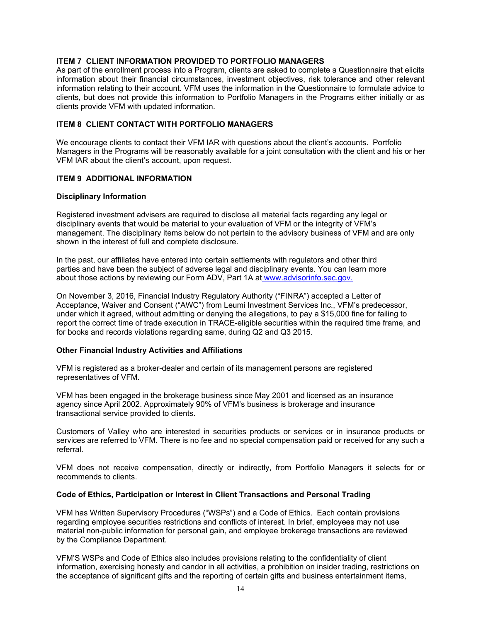## **ITEM 7 CLIENT INFORMATION PROVIDED TO PORTFOLIO MANAGERS**

As part of the enrollment process into a Program, clients are asked to complete a Questionnaire that elicits information about their financial circumstances, investment objectives, risk tolerance and other relevant information relating to their account. VFM uses the information in the Questionnaire to formulate advice to clients, but does not provide this information to Portfolio Managers in the Programs either initially or as clients provide VFM with updated information.

## **ITEM 8 CLIENT CONTACT WITH PORTFOLIO MANAGERS**

We encourage clients to contact their VFM IAR with questions about the client's accounts. Portfolio Managers in the Programs will be reasonably available for a joint consultation with the client and his or her VFM IAR about the client's account, upon request.

## **ITEM 9 ADDITIONAL INFORMATION**

#### **Disciplinary Information**

Registered investment advisers are required to disclose all material facts regarding any legal or disciplinary events that would be material to your evaluation of VFM or the integrity of VFM's management. The disciplinary items below do not pertain to the advisory business of VFM and are only shown in the interest of full and complete disclosure.

In the past, our affiliates have entered into certain settlements with regulators and other third parties and have been the subject of adverse legal and disciplinary events. You can learn more about those actions by reviewing our Form ADV, Part 1A at [www.advisorinfo.sec.gov.](http://www.advisorinfo.sec.gov/)

On November 3, 2016, Financial Industry Regulatory Authority ("FINRA") accepted a Letter of Acceptance, Waiver and Consent ("AWC") from Leumi Investment Services Inc., VFM's predecessor, under which it agreed, without admitting or denying the allegations, to pay a \$15,000 fine for failing to report the correct time of trade execution in TRACE-eligible securities within the required time frame, and for books and records violations regarding same, during Q2 and Q3 2015.

#### **Other Financial Industry Activities and Affiliations**

VFM is registered as a broker-dealer and certain of its management persons are registered representatives of VFM.

VFM has been engaged in the brokerage business since May 2001 and licensed as an insurance agency since April 2002. Approximately 90% of VFM's business is brokerage and insurance transactional service provided to clients.

Customers of Valley who are interested in securities products or services or in insurance products or services are referred to VFM. There is no fee and no special compensation paid or received for any such a referral.

VFM does not receive compensation, directly or indirectly, from Portfolio Managers it selects for or recommends to clients.

#### **Code of Ethics, Participation or Interest in Client Transactions and Personal Trading**

VFM has Written Supervisory Procedures ("WSPs") and a Code of Ethics. Each contain provisions regarding employee securities restrictions and conflicts of interest. In brief, employees may not use material non-public information for personal gain, and employee brokerage transactions are reviewed by the Compliance Department.

VFM'S WSPs and Code of Ethics also includes provisions relating to the confidentiality of client information, exercising honesty and candor in all activities, a prohibition on insider trading, restrictions on the acceptance of significant gifts and the reporting of certain gifts and business entertainment items,